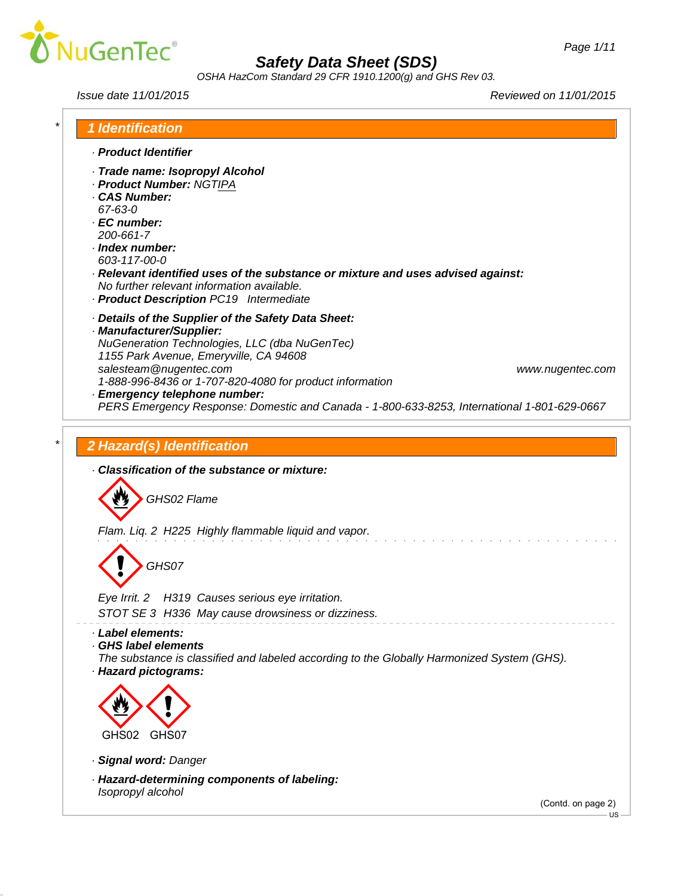

*OSHA HazCom Standard 29 CFR 1910.1200(g) and GHS Rev 03.*

*Issue date 11/01/2015 Reviewed on 11/01/2015*

|                           | <b>1 Identification</b>                                                                                |
|---------------------------|--------------------------------------------------------------------------------------------------------|
| · Product Identifier      |                                                                                                        |
|                           | · Trade name: Isopropyl Alcohol                                                                        |
|                           | · Product Number: NGTIPA                                                                               |
| · CAS Number:             |                                                                                                        |
| 67-63-0                   |                                                                                                        |
| · EC number:<br>200-661-7 |                                                                                                        |
| · Index number:           |                                                                                                        |
| 603-117-00-0              |                                                                                                        |
|                           | · Relevant identified uses of the substance or mixture and uses advised against:                       |
|                           | No further relevant information available.                                                             |
|                           | · Product Description PC19 Intermediate                                                                |
|                           | Details of the Supplier of the Safety Data Sheet:                                                      |
|                           | · Manufacturer/Supplier:                                                                               |
|                           | NuGeneration Technologies, LLC (dba NuGenTec)                                                          |
|                           | 1155 Park Avenue, Emeryville, CA 94608                                                                 |
|                           | salesteam@nugentec.com<br>www.nugentec.com<br>1-888-996-8436 or 1-707-820-4080 for product information |
|                           | · Emergency telephone number:                                                                          |
|                           | PERS Emergency Response: Domestic and Canada - 1-800-633-8253, International 1-801-629-0667            |
|                           |                                                                                                        |
|                           | 2 Hazard(s) Identification                                                                             |
|                           |                                                                                                        |
|                           | Classification of the substance or mixture:                                                            |
|                           |                                                                                                        |
|                           | GHS02 Flame                                                                                            |
|                           |                                                                                                        |
|                           | Flam. Liq. 2 H225 Highly flammable liquid and vapor.                                                   |
|                           |                                                                                                        |
|                           | GHS07                                                                                                  |
|                           |                                                                                                        |
|                           | Eye Irrit. 2 H319 Causes serious eye irritation.                                                       |
|                           | STOT SE 3 H336 May cause drowsiness or dizziness.                                                      |
|                           |                                                                                                        |
| · Label elements:         |                                                                                                        |
| GHS label elements        |                                                                                                        |
| · Hazard pictograms:      | The substance is classified and labeled according to the Globally Harmonized System (GHS).             |
|                           |                                                                                                        |
|                           |                                                                                                        |
|                           |                                                                                                        |
|                           |                                                                                                        |
| GHS02                     | GHS07                                                                                                  |
| · Signal word: Danger     |                                                                                                        |
|                           |                                                                                                        |
| Isopropyl alcohol         | · Hazard-determining components of labeling:                                                           |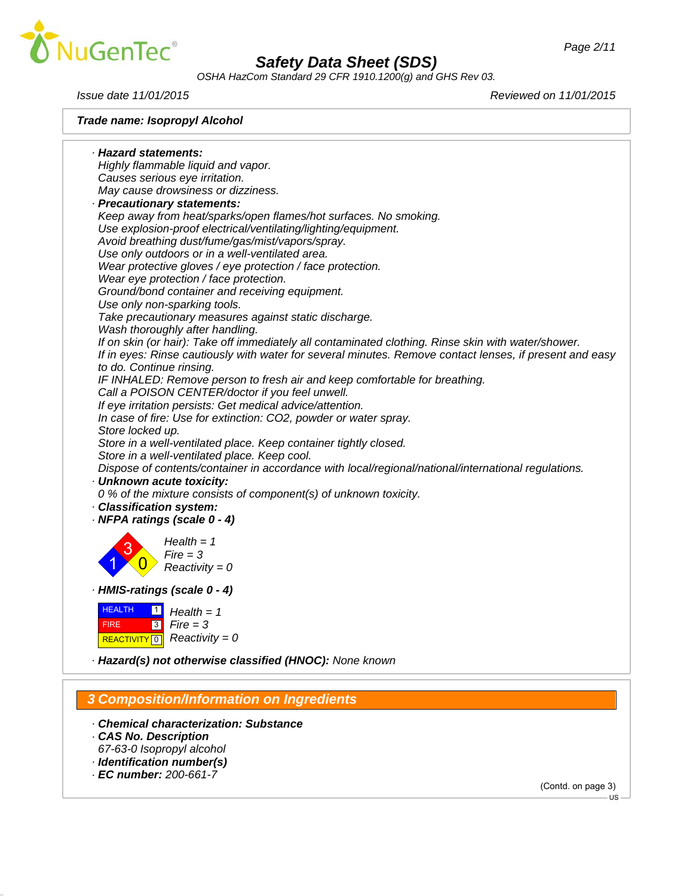

*OSHA HazCom Standard 29 CFR 1910.1200(g) and GHS Rev 03.*

*Trade name: Isopropyl Alcohol*

*Issue date 11/01/2015 Reviewed on 11/01/2015*

*· Hazard statements: Highly flammable liquid and vapor. Causes serious eye irritation. May cause drowsiness or dizziness. · Precautionary statements: Keep away from heat/sparks/open flames/hot surfaces. No smoking. Use explosion-proof electrical/ventilating/lighting/equipment. Avoid breathing dust/fume/gas/mist/vapors/spray. Use only outdoors or in a well-ventilated area. Wear protective gloves / eye protection / face protection. Wear eye protection / face protection. Ground/bond container and receiving equipment. Use only non-sparking tools. Take precautionary measures against static discharge. Wash thoroughly after handling. If on skin (or hair): Take off immediately all contaminated clothing. Rinse skin with water/shower. If in eyes: Rinse cautiously with water for several minutes. Remove contact lenses, if present and easy to do. Continue rinsing. IF INHALED: Remove person to fresh air and keep comfortable for breathing. Call a POISON CENTER/doctor if you feel unwell. If eye irritation persists: Get medical advice/attention. In case of fire: Use for extinction: CO2, powder or water spray. Store locked up. Store in a well-ventilated place. Keep container tightly closed. Store in a well-ventilated place. Keep cool. Dispose of contents/container in accordance with local/regional/national/international regulations. · Unknown acute toxicity: 0 % of the mixture consists of component(s) of unknown toxicity. · Classification system: · NFPA ratings (scale 0 - 4)* 1 3  $\overline{\mathbf{0}}$ *Health = 1 Fire = 3 Reactivity = 0 · HMIS-ratings (scale 0 - 4)* **HEALTH**  FIRE **REACTIVITY** 0  $\blacksquare$  $\boxed{3}$ *Health = 1 Fire = 3 Reactivity = 0 · Hazard(s) not otherwise classified (HNOC): None known*

### *3 Composition/Information on Ingredients*

- *· Chemical characterization: Substance*
- *· CAS No. Description*
- *67-63-0 Isopropyl alcohol*
- *· Identification number(s)*
- *· EC number: 200-661-7*

(Contd. on page 3)

US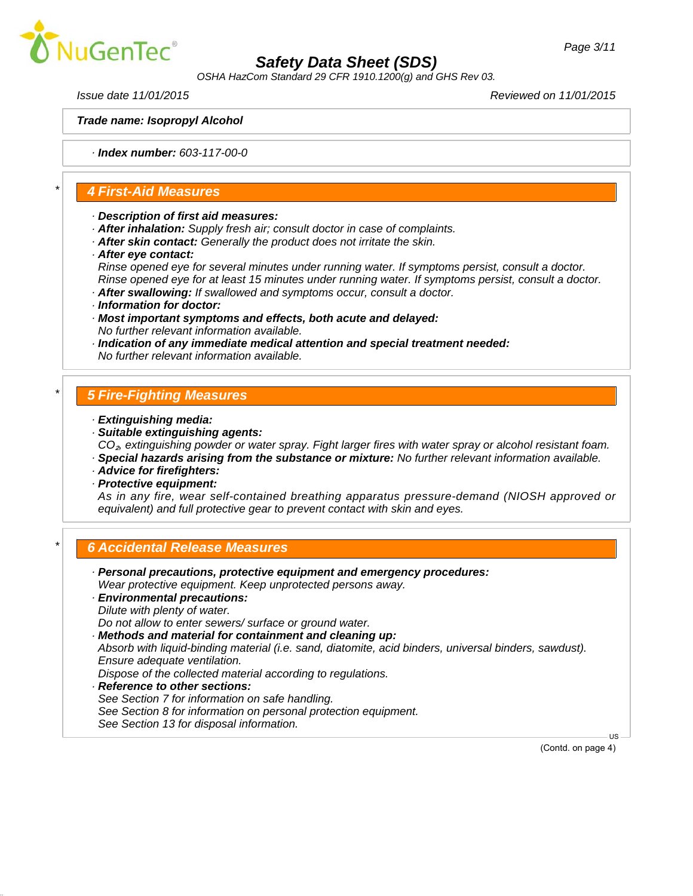

*OSHA HazCom Standard 29 CFR 1910.1200(g) and GHS Rev 03.*

*Issue date 11/01/2015 Reviewed on 11/01/2015*

*Trade name: Isopropyl Alcohol*

*· Index number: 603-117-00-0*

#### *\* 4 First-Aid Measures*

- *· Description of first aid measures:*
- *· After inhalation: Supply fresh air; consult doctor in case of complaints.*
- *· After skin contact: Generally the product does not irritate the skin.*
- *· After eye contact:*

*Rinse opened eye for several minutes under running water. If symptoms persist, consult a doctor. Rinse opened eye for at least 15 minutes under running water. If symptoms persist, consult a doctor.*

- *· After swallowing: If swallowed and symptoms occur, consult a doctor.*
- *· Information for doctor:*
- *· Most important symptoms and effects, both acute and delayed: No further relevant information available.*
- *· Indication of any immediate medical attention and special treatment needed: No further relevant information available.*

#### *\* 5 Fire-Fighting Measures*

- *· Extinguishing media:*
- *· Suitable extinguishing agents: CO*₂*, extinguishing powder or water spray. Fight larger fires with water spray or alcohol resistant foam.*
- *· Special hazards arising from the substance or mixture: No further relevant information available.*
- *· Advice for firefighters:*
- *· Protective equipment:*

*As in any fire, wear self-contained breathing apparatus pressure-demand (NIOSH approved or equivalent) and full protective gear to prevent contact with skin and eyes.*

### *\* 6 Accidental Release Measures*

*· Personal precautions, protective equipment and emergency procedures: Wear protective equipment. Keep unprotected persons away. · Environmental precautions: Dilute with plenty of water. Do not allow to enter sewers/ surface or ground water. · Methods and material for containment and cleaning up: Absorb with liquid-binding material (i.e. sand, diatomite, acid binders, universal binders, sawdust). Ensure adequate ventilation. Dispose of the collected material according to regulations. · Reference to other sections: See Section 7 for information on safe handling. See Section 8 for information on personal protection equipment. See Section 13 for disposal information.*US

(Contd. on page 4)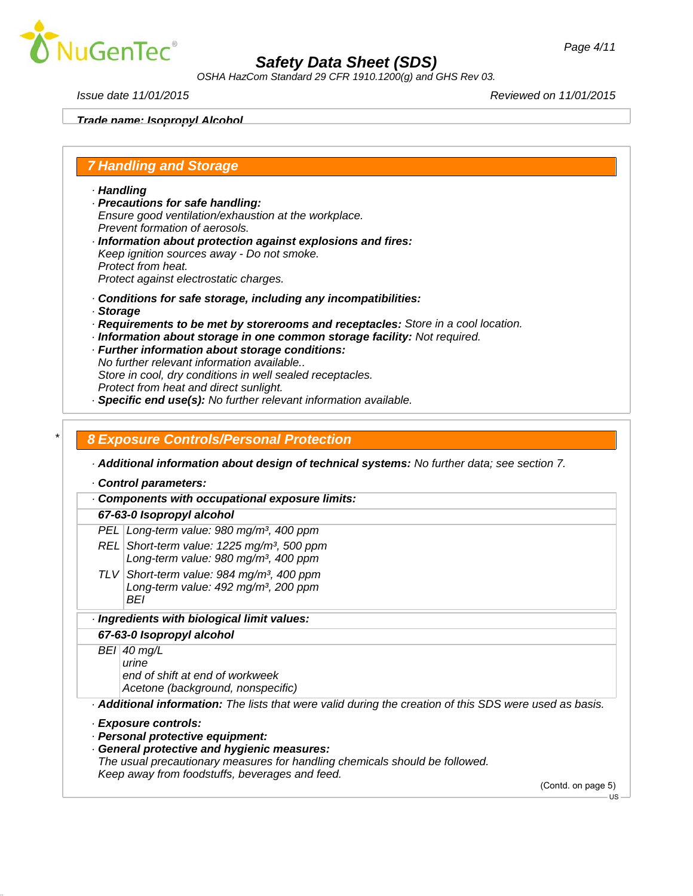

*OSHA HazCom Standard 29 CFR 1910.1200(g) and GHS Rev 03.*

*Issue date 11/01/2015 Reviewed on 11/01/2015*

*Page 4/11*

*Trade name: Isopropyl Alcohol*

## *7 Handling and Storage*

*· Handling*

- *· Precautions for safe handling: Ensure good ventilation/exhaustion at the workplace. Prevent formation of aerosols.*
- *· Information about protection against explosions and fires: Keep ignition sources away - Do not smoke. Protect from heat. Protect against electrostatic charges.*
- *· Conditions for safe storage, including any incompatibilities:*
- *· Storage*
- *· Requirements to be met by storerooms and receptacles: Store in a cool location.*
- *· Information about storage in one common storage facility: Not required.*
- *· Further information about storage conditions: No further relevant information available.. Store in cool, dry conditions in well sealed receptacles.*
- *Protect from heat and direct sunlight.*
- *· Specific end use(s): No further relevant information available.*

#### *\* 8 Exposure Controls/Personal Protection*

*· Additional information about design of technical systems: No further data; see section 7.*

*· Control parameters:*

*· Components with occupational exposure limits: 67-63-0 Isopropyl alcohol PEL Long-term value: 980 mg/m³, 400 ppm REL Short-term value: 1225 mg/m³, 500 ppm Long-term value: 980 mg/m³, 400 ppm TLV Short-term value: 984 mg/m³, 400 ppm Long-term value: 492 mg/m³, 200 ppm BEI · Ingredients with biological limit values: 67-63-0 Isopropyl alcohol BEI 40 mg/L urine end of shift at end of workweek Acetone (background, nonspecific) · Additional information: The lists that were valid during the creation of this SDS were used as basis. · Exposure controls: · Personal protective equipment: · General protective and hygienic measures: The usual precautionary measures for handling chemicals should be followed. Keep away from foodstuffs, beverages and feed.* (Contd. on page 5)

US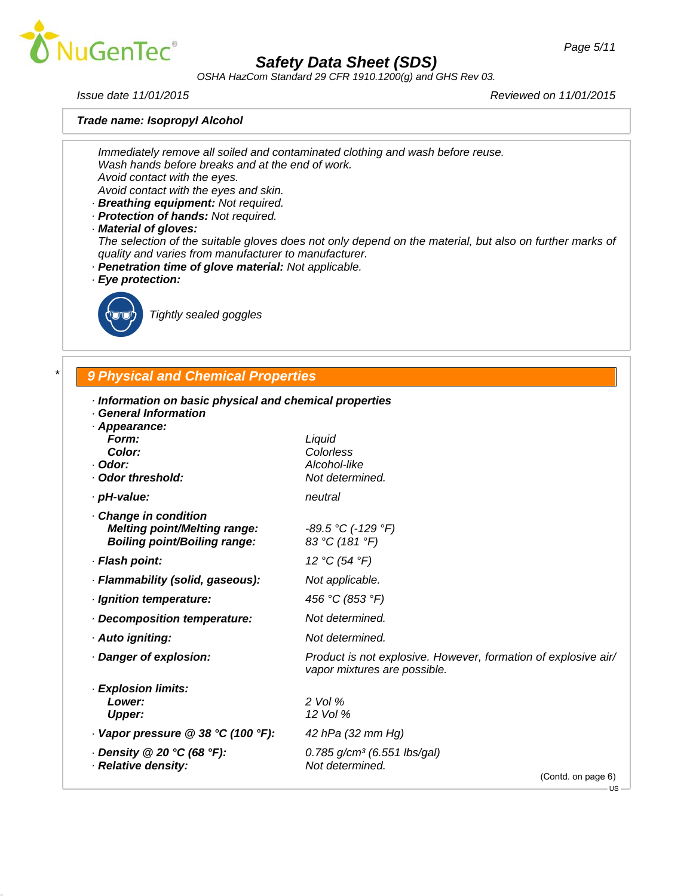

*OSHA HazCom Standard 29 CFR 1910.1200(g) and GHS Rev 03.*

*Trade name: Isopropyl Alcohol*

*Issue date 11/01/2015 Reviewed on 11/01/2015*

*Immediately remove all soiled and contaminated clothing and wash before reuse. Wash hands before breaks and at the end of work. Avoid contact with the eyes.*

*Avoid contact with the eyes and skin.*

- *· Breathing equipment: Not required.*
- *· Protection of hands: Not required.*
- *· Material of gloves:*

*The selection of the suitable gloves does not only depend on the material, but also on further marks of quality and varies from manufacturer to manufacturer.*

- *· Penetration time of glove material: Not applicable.*
- *· Eye protection:*



\_R*Tightly sealed goggles*

## *\* 9 Physical and Chemical Properties*

| · Information on basic physical and chemical properties |  |  |  |
|---------------------------------------------------------|--|--|--|
|                                                         |  |  |  |

*· General Information*

| · Appearance:<br>Form:<br>Color:<br>· Odor:<br>· Odor threshold:                                  | Liquid<br>Colorless<br>Alcohol-like<br>Not determined.                                         |
|---------------------------------------------------------------------------------------------------|------------------------------------------------------------------------------------------------|
| · pH-value:                                                                                       | neutral                                                                                        |
| Change in condition<br><b>Melting point/Melting range:</b><br><b>Boiling point/Boiling range:</b> | $-89.5$ °C (-129 °F)<br>83 °C (181 °F)                                                         |
| · Flash point:                                                                                    | 12 °C (54 °F)                                                                                  |
| · Flammability (solid, gaseous):                                                                  | Not applicable.                                                                                |
| · Ignition temperature:                                                                           | 456 °C (853 °F)                                                                                |
| Decomposition temperature:                                                                        | Not determined.                                                                                |
| · Auto igniting:                                                                                  | Not determined.                                                                                |
| · Danger of explosion:                                                                            | Product is not explosive. However, formation of explosive air/<br>vapor mixtures are possible. |
| · Explosion limits:<br>Lower:<br><b>Upper:</b>                                                    | $2$ Vol $%$<br>12 Vol %                                                                        |
| $\cdot$ Vapor pressure @ 38 °C (100 °F):                                                          | 42 hPa (32 mm Hg)                                                                              |
| $\cdot$ Density @ 20 °C (68 °F):                                                                  | 0.785 g/cm <sup>3</sup> (6.551 lbs/gal)<br>Not determined.                                     |
| · Relative density:                                                                               | (Contd. on page 6)                                                                             |
|                                                                                                   | $\sim$ 118                                                                                     |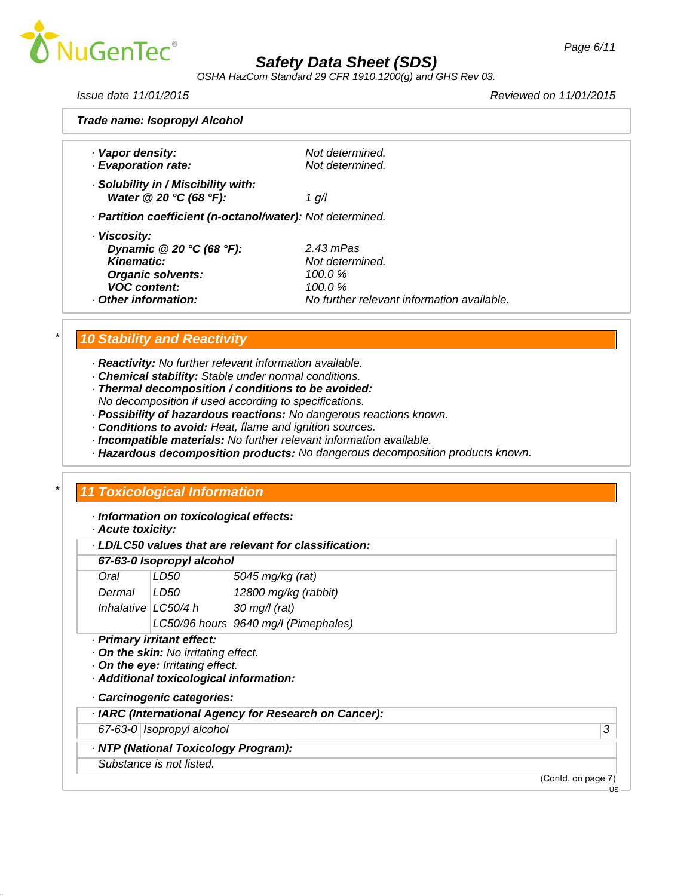

*OSHA HazCom Standard 29 CFR 1910.1200(g) and GHS Rev 03.*

*Issue date 11/01/2015 Reviewed on 11/01/2015*

| Trade name: Isopropyl Alcohol                              |                                            |  |
|------------------------------------------------------------|--------------------------------------------|--|
|                                                            |                                            |  |
| · Vapor density:                                           | Not determined.                            |  |
| · Evaporation rate:                                        | Not determined.                            |  |
| · Solubility in / Miscibility with:                        |                                            |  |
| Water @ 20 °C (68 °F):                                     | 1 g/l                                      |  |
| · Partition coefficient (n-octanol/water): Not determined. |                                            |  |
| · Viscosity:                                               |                                            |  |
| Dynamic $@20 °C (68 °F)$ :                                 | $2.43$ mPas                                |  |
| Kinematic:                                                 | Not determined.                            |  |
| <b>Organic solvents:</b>                                   | 100.0 $\%$                                 |  |
| <b>VOC content:</b>                                        | 100.0 $\%$                                 |  |
| Other information:                                         | No further relevant information available. |  |
|                                                            |                                            |  |

## *\* 10 Stability and Reactivity*

*· Reactivity: No further relevant information available.*

- *· Chemical stability: Stable under normal conditions.*
- *· Thermal decomposition / conditions to be avoided:*
- *No decomposition if used according to specifications.*
- *· Possibility of hazardous reactions: No dangerous reactions known.*
- *· Conditions to avoid: Heat, flame and ignition sources.*
- *· Incompatible materials: No further relevant information available.*
- *· Hazardous decomposition products: No dangerous decomposition products known.*

### *\* 11 Toxicological Information*

*· Information on toxicological effects:*

*· Acute toxicity:*

| LD/LC50 values that are relevant for classification: |  |  |
|------------------------------------------------------|--|--|
|------------------------------------------------------|--|--|

#### *67-63-0 Isopropyl alcohol*

| Oral                  | LD50  | 5045 mg/kg (rat)                     |
|-----------------------|-------|--------------------------------------|
| Dermal                | LD50. | 12800 mg/kg (rabbit)                 |
| Inhalative $LC50/4 h$ |       | $30 \text{ mg/l}$ (rat)              |
|                       |       | LC50/96 hours 9640 mg/l (Pimephales) |

*· Primary irritant effect:*

*· On the skin: No irritating effect.*

*· On the eye: Irritating effect.*

*· Additional toxicological information:*

*· Carcinogenic categories:*

*· IARC (International Agency for Research on Cancer):*

*67-63-0 Isopropyl alcohol 3* 

*· NTP (National Toxicology Program):*

*Substance is not listed.*

(Contd. on page 7)

 $-11S$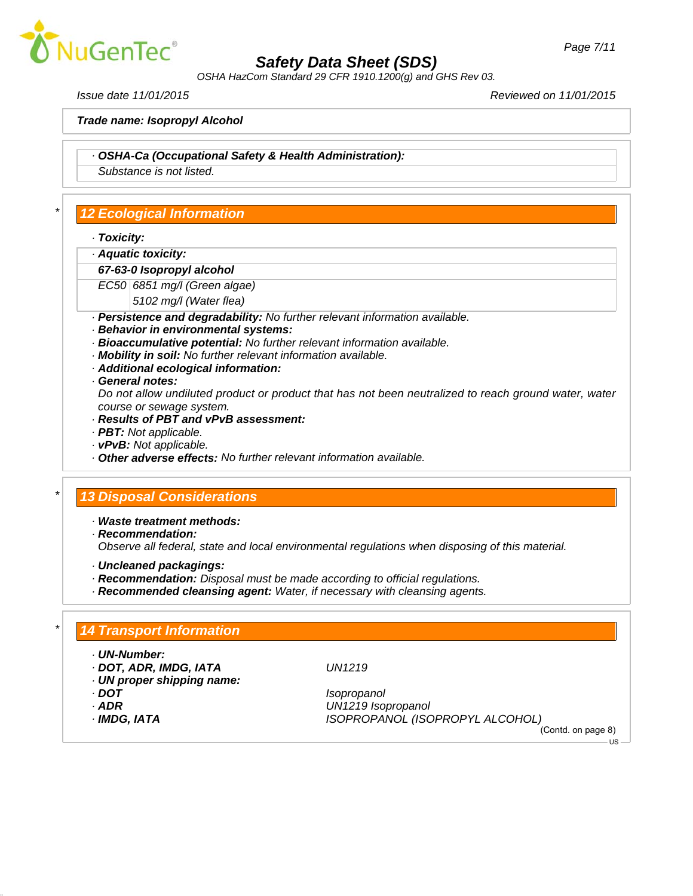

*OSHA HazCom Standard 29 CFR 1910.1200(g) and GHS Rev 03.*

*Issue date 11/01/2015 Reviewed on 11/01/2015*

*Trade name: Isopropyl Alcohol*

*· OSHA-Ca (Occupational Safety & Health Administration):*

*Substance is not listed.*

## *\* 12 Ecological Information*

- *· Toxicity:*
- *· Aquatic toxicity:*
- *67-63-0 Isopropyl alcohol*
- *EC50 6851 mg/l (Green algae)*
	- *5102 mg/l (Water flea)*
- *· Persistence and degradability: No further relevant information available.*
- *· Behavior in environmental systems:*
- *· Bioaccumulative potential: No further relevant information available.*
- *· Mobility in soil: No further relevant information available.*
- *· Additional ecological information:*
- *· General notes:*

*Do not allow undiluted product or product that has not been neutralized to reach ground water, water course or sewage system.*

- *· Results of PBT and vPvB assessment:*
- *· PBT: Not applicable.*
- *· vPvB: Not applicable.*
- *· Other adverse effects: No further relevant information available.*

## *\* 13 Disposal Considerations*

- *· Waste treatment methods:*
- *· Recommendation:*

*Observe all federal, state and local environmental regulations when disposing of this material.*

- *· Uncleaned packagings:*
- *· Recommendation: Disposal must be made according to official regulations.*
- *· Recommended cleansing agent: Water, if necessary with cleansing agents.*

### *\* 14 Transport Information*

- *· UN-Number:*
- *· DOT, ADR, IMDG, IATA UN1219*
- *· UN proper shipping name:*
- 
- 
- 

*· DOT Isopropanol · ADR UN1219 Isopropanol · IMDG, IATA ISOPROPANOL (ISOPROPYL ALCOHOL)*

(Contd. on page 8) US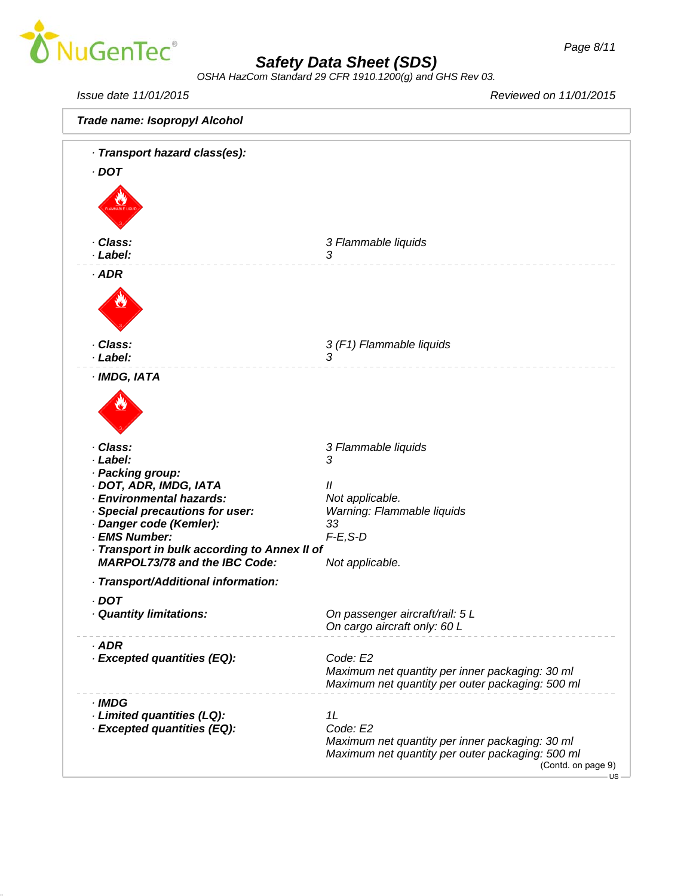

*OSHA HazCom Standard 29 CFR 1910.1200(g) and GHS Rev 03.*

*Issue date 11/01/2015 Reviewed on 11/01/2015*

| Trade name: Isopropyl Alcohol                                                        |                                                             |
|--------------------------------------------------------------------------------------|-------------------------------------------------------------|
| · Transport hazard class(es):                                                        |                                                             |
| $.$ DOT                                                                              |                                                             |
|                                                                                      |                                                             |
|                                                                                      |                                                             |
|                                                                                      |                                                             |
|                                                                                      |                                                             |
| · Class:<br>· Label:                                                                 | 3 Flammable liquids<br>3                                    |
|                                                                                      |                                                             |
| $·$ ADR                                                                              |                                                             |
|                                                                                      |                                                             |
|                                                                                      |                                                             |
|                                                                                      |                                                             |
| · Class:                                                                             | 3 (F1) Flammable liquids                                    |
| · Label:                                                                             | 3                                                           |
| · IMDG, IATA                                                                         |                                                             |
|                                                                                      |                                                             |
|                                                                                      |                                                             |
|                                                                                      |                                                             |
|                                                                                      |                                                             |
| · Class:                                                                             | 3 Flammable liquids                                         |
| · Label:                                                                             | 3                                                           |
| · Packing group:<br>· DOT, ADR, IMDG, IATA                                           | $^{\prime\prime}$                                           |
| · Environmental hazards:                                                             | Not applicable.                                             |
| · Special precautions for user:                                                      | Warning: Flammable liquids                                  |
| · Danger code (Kemler):                                                              | 33                                                          |
| · EMS Number:                                                                        | $F-E$ , $S-D$                                               |
| · Transport in bulk according to Annex II of<br><b>MARPOL73/78 and the IBC Code:</b> | Not applicable.                                             |
|                                                                                      |                                                             |
| · Transport/Additional information:                                                  |                                                             |
| · DOT                                                                                |                                                             |
| · Quantity limitations:                                                              | On passenger aircraft/rail: 5 L                             |
|                                                                                      | On cargo aircraft only: 60 L                                |
| $·$ ADR                                                                              |                                                             |
| · Excepted quantities (EQ):                                                          | Code: E2<br>Maximum net quantity per inner packaging: 30 ml |
|                                                                                      | Maximum net quantity per outer packaging: 500 ml            |
| · IMDG                                                                               |                                                             |
| · Limited quantities (LQ):                                                           | 1L                                                          |
| · Excepted quantities (EQ):                                                          | Code: E2                                                    |
|                                                                                      | Maximum net quantity per inner packaging: 30 ml             |
|                                                                                      | Maximum net quantity per outer packaging: 500 ml            |
|                                                                                      | (Contd. on page 9)<br><b>US</b>                             |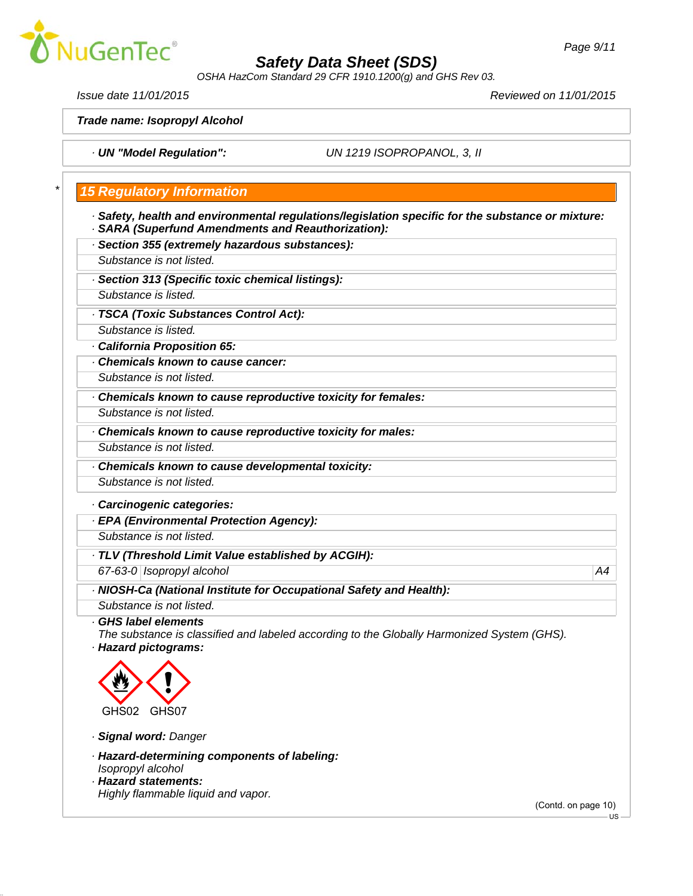

*OSHA HazCom Standard 29 CFR 1910.1200(g) and GHS Rev 03.*

*Issue date 11/01/2015 Reviewed on 11/01/2015*

*Trade name: Isopropyl Alcohol*

*· UN "Model Regulation": UN 1219 ISOPROPANOL, 3, II*

### *\* 15 Regulatory Information*

- *· Safety, health and environmental regulations/legislation specific for the substance or mixture: · SARA (Superfund Amendments and Reauthorization):*
- *· Section 355 (extremely hazardous substances):*
- *Substance is not listed.*
- *· Section 313 (Specific toxic chemical listings):*
- *Substance is listed.*
- *· TSCA (Toxic Substances Control Act):*
- *Substance is listed.*
- *· California Proposition 65:*
- *· Chemicals known to cause cancer:*
- *Substance is not listed.*
- *· Chemicals known to cause reproductive toxicity for females:*
- *Substance is not listed.*
- *· Chemicals known to cause reproductive toxicity for males:*
- *Substance is not listed.*
- *· Chemicals known to cause developmental toxicity:*
- *Substance is not listed.*
- *· Carcinogenic categories:*
- *· EPA (Environmental Protection Agency):*
- *Substance is not listed.*
- *· TLV (Threshold Limit Value established by ACGIH):*
- *67-63-0 Isopropyl alcohol A4*
- *· NIOSH-Ca (National Institute for Occupational Safety and Health):*
- *Substance is not listed.*
- *· GHS label elements*
- *The substance is classified and labeled according to the Globally Harmonized System (GHS). · Hazard pictograms:*



- *· Signal word: Danger*
- *· Hazard-determining components of labeling: Isopropyl alcohol*
- *· Hazard statements: Highly flammable liquid and vapor.*

(Contd. on page 10)

US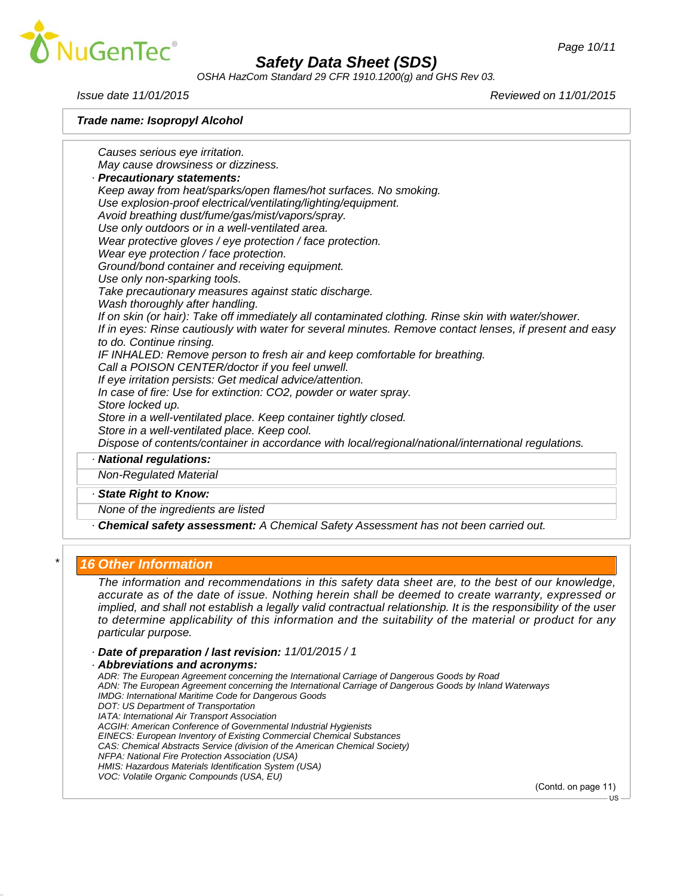

*OSHA HazCom Standard 29 CFR 1910.1200(g) and GHS Rev 03.*

*Issue date 11/01/2015 Reviewed on 11/01/2015*

*Trade name: Isopropyl Alcohol*

*Causes serious eye irritation. May cause drowsiness or dizziness. · Precautionary statements: Keep away from heat/sparks/open flames/hot surfaces. No smoking. Use explosion-proof electrical/ventilating/lighting/equipment. Avoid breathing dust/fume/gas/mist/vapors/spray. Use only outdoors or in a well-ventilated area. Wear protective gloves / eye protection / face protection. Wear eye protection / face protection. Ground/bond container and receiving equipment. Use only non-sparking tools. Take precautionary measures against static discharge. Wash thoroughly after handling. If on skin (or hair): Take off immediately all contaminated clothing. Rinse skin with water/shower. If in eyes: Rinse cautiously with water for several minutes. Remove contact lenses, if present and easy to do. Continue rinsing. IF INHALED: Remove person to fresh air and keep comfortable for breathing. Call a POISON CENTER/doctor if you feel unwell. If eye irritation persists: Get medical advice/attention. In case of fire: Use for extinction: CO2, powder or water spray. Store locked up. Store in a well-ventilated place. Keep container tightly closed. Store in a well-ventilated place. Keep cool. Dispose of contents/container in accordance with local/regional/national/international regulations. · National regulations: Non-Regulated Material · State Right to Know: None of the ingredients are listed · Chemical safety assessment: A Chemical Safety Assessment has not been carried out.*

### *\* 16 Other Information*

*The information and recommendations in this safety data sheet are, to the best of our knowledge, accurate as of the date of issue. Nothing herein shall be deemed to create warranty, expressed or implied, and shall not establish a legally valid contractual relationship. It is the responsibility of the user to determine applicability of this information and the suitability of the material or product for any particular purpose.*

- *· Date of preparation / last revision: 11/01/2015 / 1*
- *· Abbreviations and acronyms:*

*ADR: The European Agreement concerning the International Carriage of Dangerous Goods by Road ADN: The European Agreement concerning the International Carriage of Dangerous Goods by Inland Waterways IMDG: International Maritime Code for Dangerous Goods DOT: US Department of Transportation IATA: International Air Transport Association ACGIH: American Conference of Governmental Industrial Hygienists EINECS: European Inventory of Existing Commercial Chemical Substances CAS: Chemical Abstracts Service (division of the American Chemical Society) NFPA: National Fire Protection Association (USA) HMIS: Hazardous Materials Identification System (USA) VOC: Volatile Organic Compounds (USA, EU)*

(Contd. on page 11)

US